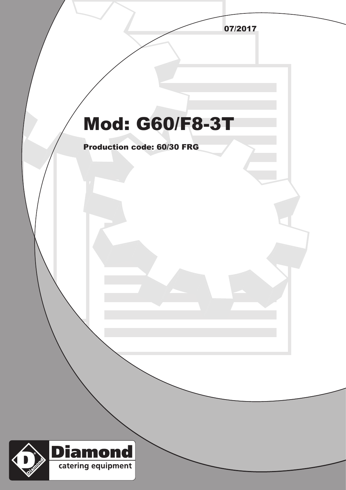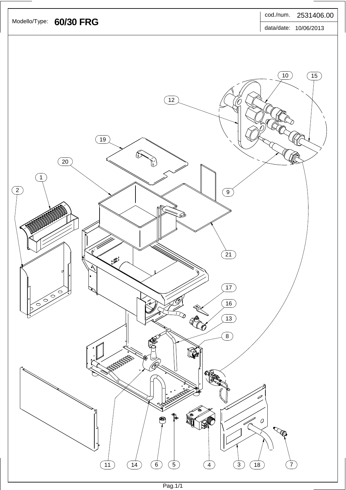